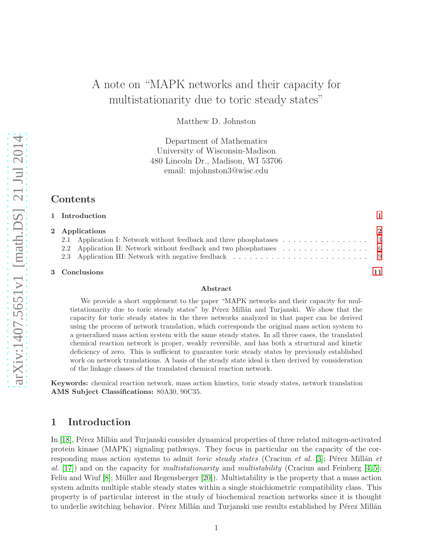# A note on "MAPK networks and their capacity for multistationarity due to toric steady states"

Matthew D. Johnston

Department of Mathematics University of Wisconsin-Madison 480 Lincoln Dr., Madison, WI 53706 email: mjohnston3@wisc.edu

# Contents

| 1 Introduction |                |
|----------------|----------------|
| 2 Applications | $\overline{2}$ |
|                |                |
|                |                |
|                |                |
|                |                |

#### 3 Conclusions [11](#page-10-0)

#### Abstract

We provide a short supplement to the paper "MAPK networks and their capacity for multistationarity due to toric steady states" by Pérez Millán and Turjanski. We show that the capacity for toric steady states in the three networks analyzed in that paper can be derived using the process of network translation, which corresponds the original mass action system to a generalized mass action system with the same steady states. In all three cases, the translated chemical reaction network is proper, weakly reversible, and has both a structural and kinetic deficiency of zero. This is sufficient to guarantee toric steady states by previously established work on network translations. A basis of the steady state ideal is then derived by consideration of the linkage classes of the translated chemical reaction network.

Keywords: chemical reaction network, mass action kinetics, toric steady states, network translation AMS Subject Classifications: 80A30, 90C35.

### <span id="page-0-0"></span>1 Introduction

In [\[18\]](#page-12-0), Pérez Millán and Turjanski consider dynamical properties of three related mitogen-activated protein kinase (MAPK) signaling pathways. They focus in particular on the capacity of the corresponding mass action systems to admit *toric steady states* (Craciun *et al.* [\[3\]](#page-11-0); Pérez Millán *et* al. [\[17\]](#page-12-1)) and on the capacity for *multistationarity* and *multistability* (Craciun and Feinberg [\[4,](#page-11-1)5]; Feliu and Wiuf  $[8]$ ; Müller and Regensberger  $[20]$ . Multistability is the property that a mass action system admits multiple stable steady states within a single stoichiometric compatibility class. This property is of particular interest in the study of biochemical reaction networks since it is thought to underlie switching behavior. Pérez Millán and Turjanski use results established by Pérez Millán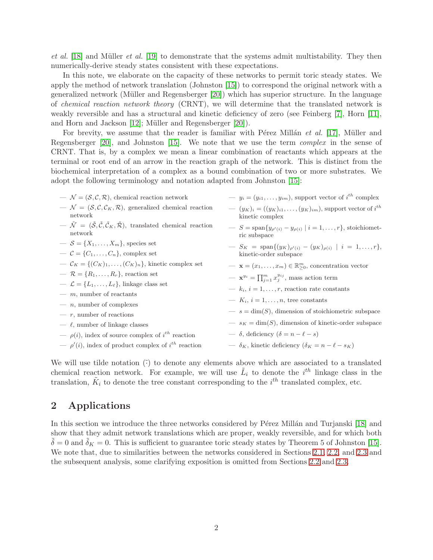*et al.* [\[18\]](#page-12-0) and Müller *et al.* [\[19\]](#page-12-3) to demonstrate that the systems admit multistability. They then numerically-derive steady states consistent with these expectations.

In this note, we elaborate on the capacity of these networks to permit toric steady states. We apply the method of network translation (Johnston [\[15\]](#page-12-4)) to correspond the original network with a generalized network (Müller and Regensberger  $[20]$ ) which has superior structure. In the language of chemical reaction network theory (CRNT), we will determine that the translated network is weakly reversible and has a structural and kinetic deficiency of zero (see Feinberg [\[7\]](#page-11-4), Horn [\[11\]](#page-12-5), and Horn and Jackson  $[12]$ ; Müller and Regensberger  $[20]$ ).

For brevity, we assume that the reader is familiar with P $\acute{e}$ rez Millán *et al.* [\[17\]](#page-12-1), Müller and Regensberger [\[20\]](#page-12-2), and Johnston [\[15\]](#page-12-4). We note that we use the term complex in the sense of CRNT. That is, by a complex we mean a linear combination of reactants which appears at the terminal or root end of an arrow in the reaction graph of the network. This is distinct from the biochemical interpretation of a complex as a bound combination of two or more substrates. We adopt the following terminology and notation adapted from Johnston [\[15\]](#page-12-4):

 $\mathcal{N} = (\mathcal{S}, \mathcal{C}, \mathcal{R})$ , chemical reaction network  $-\mathcal{N} = (\mathcal{S}, \mathcal{C}, \mathcal{C}_K, \mathcal{R})$ , generalized chemical reaction network  $-\tilde{\mathcal{N}} = (\tilde{\mathcal{S}}, \tilde{\mathcal{C}}, \tilde{\mathcal{C}}_K, \tilde{\mathcal{R}}),$  translated chemical reaction network  $\mathcal{S} = \{X_1, \ldots, X_m\}$ , species set  $\mathcal{C} = \{C_1, \ldots, C_n\}$ , complex set  $\mathcal{C}_K = \{ (C_K)_1, \ldots, (C_K)_n \},$  kinetic complex set  $-\mathcal{R} = \{R_1, \ldots, R_r\}$ , reaction set  $\mathcal{L} = \{L_1, \ldots, L_\ell\}$ , linkage class set  $-$  m, number of reactants  $- n$ , number of complexes  $- r$ , number of reactions  $\frac{1}{\epsilon}$ , number of linkage classes  $\rho(i)$ , index of source complex of  $i^{th}$  reaction  $\rho'(i)$ , index of product complex of  $i^{th}$  reaction  $-y_i = (y_{i1}, \ldots, y_{im})$ , support vector of  $i^{th}$  complex  $(-y_K)_i=((y_K)_{i1},\ldots,(y_K)_{im}),$  support vector of  $i^{th}$ kinetic complex  $\sum S = \text{span}\{y_{\rho'(i)} - y_{\rho(i)} \mid i = 1, ..., r\},\text{stoichiomet-}$ ric subspace  $- S_K = \text{span}\{(y_K)_{\rho'(i)} - (y_K)_{\rho(i)} \mid i = 1, \ldots, r\},\$ kinetic-order subspace  $\mathbf{x} = (x_1, \ldots, x_m) \in \mathbb{R}_{\geq 0}^m$ , concentration vector  $-\mathbf{x}^{y_i} = \prod_{j=1}^m x_j^{y_{ij}}$ , mass action term  $- k_i, i = 1, \ldots, r$ , reaction rate constants —  $K_i$ ,  $i = 1, \ldots, n$ , tree constants  $-s = \dim(S)$ , dimension of stoichiometric subspace  $- s_K = \dim(S)$ , dimension of kinetic-order subspace — δ, deficiency  $(\delta = n - \ell - s)$ —  $\delta_K$ , kinetic deficiency ( $\delta_K = n - \ell - s_K$ )

We will use tilde notation  $(\tilde{\cdot})$  to denote any elements above which are associated to a translated chemical reaction network. For example, we will use  $\tilde{L}_i$  to denote the  $i^{th}$  linkage class in the translation,  $\tilde{K}_i$  to denote the tree constant corresponding to the  $i^{th}$  translated complex, etc.

# <span id="page-1-0"></span>2 Applications

In this section we introduce the three networks considered by Pérez Millán and Turjanski [\[18\]](#page-12-0) and show that they admit network translations which are proper, weakly reversible, and for which both  $\delta = 0$  and  $\delta_K = 0$ . This is sufficient to guarantee toric steady states by Theorem 5 of Johnston [\[15\]](#page-12-4). We note that, due to similarities between the networks considered in Sections [2.1,](#page-2-0) [2.2,](#page-5-0) and [2.3](#page-8-0) and the subsequent analysis, some clarifying exposition is omitted from Sections [2.2](#page-5-0) and [2.3.](#page-8-0)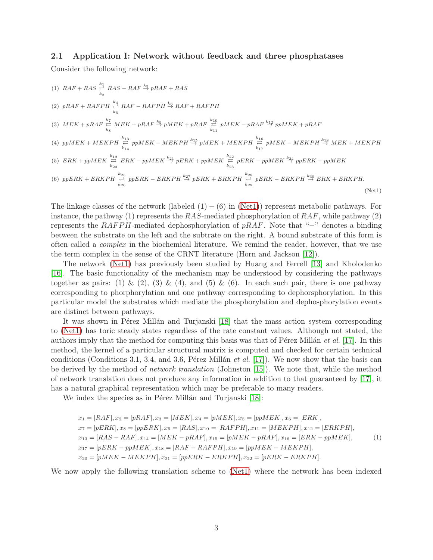#### <span id="page-2-0"></span>2.1 Application I: Network without feedback and three phosphatases

Consider the following network:

(1) 
$$
RAF + RAS \stackrel{k_1}{\rightleftarrows} RAS - RAF \stackrel{k_3}{\rightarrow} pRAF + RAS
$$
  
\n(2)  $pRAF + RAFPH \stackrel{k_4}{\rightleftarrows} RAF - RAFPH \stackrel{k_6}{\rightarrow} RAF + RAFPH$   
\n(3)  $MEK + pRAF \stackrel{k_7}{\rightleftarrows} MEK - pRAF \stackrel{k_9}{\rightarrow} pMEK + pRAF \stackrel{k_{10}}{\rightleftarrows} pMEK - pRAF \stackrel{k_{12}}{\rightarrow} pMEK + pRAF$   
\n(4)  $ppMEK + MENPH \stackrel{k_{13}}{\rightleftarrows} pMEK - MEKPH \stackrel{k_{15}}{\rightarrow} pMEK + MEKPH \stackrel{k_{16}}{\rightleftarrows} pMEK - MEKPH \stackrel{k_{18}}{\rightarrow} pMEK - MEKPH \stackrel{k_{18}}{\rightarrow} MEK + MEKPH$   
\n(5)  $ERK + ppMEK \stackrel{k_{19}}{\rightleftarrows} ERK - ppMEK \stackrel{k_{21}}{\rightarrow} pERK + ppMEK \stackrel{k_{22}}{\rightleftarrows} pERK - ppMEK \stackrel{k_{24}}{\rightarrow} pERK + ppMEK$   
\n(6)  $ppERK + ERKPH \stackrel{k_{25}}{\rightleftarrows} pERK - ERKPH \stackrel{k_{27}}{\rightarrow} pERK + ERKPH \stackrel{k_{28}}{\rightleftarrows} pERK - ERKPH \stackrel{k_{30}}{\rightarrow} ERK + ERKPH$ .  
\n(Net1)

<span id="page-2-1"></span>The linkage classes of the network (labeled  $(1) - (6)$  in [\(Net1\)](#page-2-1)) represent metabolic pathways. For instance, the pathway (1) represents the RAS-mediated phosphorylation of  $RAF$ , while pathway (2) represents the RAFPH-mediated dephosphorylation of  $pRAF$ . Note that "−" denotes a binding between the substrate on the left and the subtrate on the right. A bound substrate of this form is often called a complex in the biochemical literature. We remind the reader, however, that we use the term complex in the sense of the CRNT literature (Horn and Jackson [\[12\]](#page-12-6)).

The network [\(Net1\)](#page-2-1) has previously been studied by Huang and Ferrell [\[13\]](#page-12-7) and Kholodenko [\[16\]](#page-12-8). The basic functionality of the mechanism may be understood by considering the pathways together as pairs: (1) & (2), (3) & (4), and (5) & (6). In each such pair, there is one pathway corresponding to phorphorylation and one pathway corresponding to dephorsphorylation. In this particular model the substrates which mediate the phosphorylation and dephosphorylation events are distinct between pathways.

It was shown in Pérez Millán and Turjanski [\[18\]](#page-12-0) that the mass action system corresponding to [\(Net1\)](#page-2-1) has toric steady states regardless of the rate constant values. Although not stated, the authors imply that the method for computing this basis was that of Pérez Millán *et al.* [\[17\]](#page-12-1). In this method, the kernel of a particular structural matrix is computed and checked for certain technical conditions (Conditions 3.1, 3.4, and 3.6, Pérez Millán et al. [\[17\]](#page-12-1)). We now show that the basis can be derived by the method of *network translation* (Johnston [\[15\]](#page-12-4)). We note that, while the method of network translation does not produce any information in addition to that guaranteed by [\[17\]](#page-12-1), it has a natural graphical representation which may be preferable to many readers.

We index the species as in Pérez Millán and Turjanski [\[18\]](#page-12-0):

$$
x_1 = [RAF], x_2 = [pRAF], x_3 = [MEK], x_4 = [pMEK], x_5 = [ppMEK], x_6 = [ERK],
$$
  
\n
$$
x_7 = [pERK], x_8 = [ppERK], x_9 = [RAS], x_{10} = [RAFPH], x_{11} = [MEKPH], x_{12} = [ERKPH],
$$
  
\n
$$
x_{13} = [RAS - RAF], x_{14} = [MEK - pRAF], x_{15} = [pMEK - pRAF], x_{16} = [ERK - ppMEK],
$$
  
\n
$$
x_{17} = [pERK - ppMEK], x_{18} = [RAF - RAFPH], x_{19} = [ppMEK - MEKPH],
$$
  
\n
$$
x_{20} = [pMEK - MEKPH], x_{21} = [ppERK - ERKPH], x_{22} = [pERK - ERKPH].
$$
\n(1)

<span id="page-2-2"></span>We now apply the following translation scheme to [\(Net1\)](#page-2-1) where the network has been indexed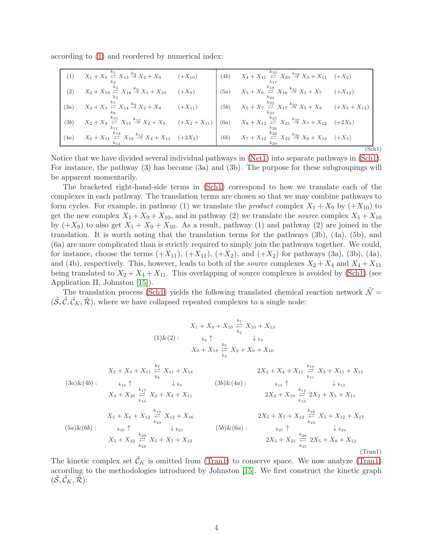according to [\(1\)](#page-2-2) and reordered by numerical index:

<span id="page-3-0"></span>

| (1)  | $X_1 + X_9 \stackrel{k_1}{\underset{k_2}{\rightleftharpoons}} X_{13} \stackrel{k_3}{\rightarrow} X_2 + X_9$ (+X <sub>10</sub> )                                                                                                                                        |          | (4b) $X_4 + X_{11} \stackrel{k_{16}}{\underset{k_{17}}{\rightleftharpoons}} X_{20} \stackrel{k_{18}}{\rightarrow} X_3 + X_{11} \quad (+X_2)$ |       |
|------|------------------------------------------------------------------------------------------------------------------------------------------------------------------------------------------------------------------------------------------------------------------------|----------|----------------------------------------------------------------------------------------------------------------------------------------------|-------|
| (2)  | $X_2 + X_{10} \stackrel{k_4}{\rightleftharpoons} X_{18} \stackrel{k_6}{\rightarrow} X_1 + X_{10}$                                                                                                                                                                      | $(+X_9)$ | (5a) $X_5 + X_6 \stackrel{k_{19}}{\rightleftharpoons} X_{16} \stackrel{k_{21}}{\rightarrow} X_5 + X_7$ $(+X_{12})$                           |       |
| (3a) | $X_2 + X_3 \stackrel{k_7}{\rightleftharpoons} X_{14} \stackrel{k_9}{\rightarrow} X_2 + X_4$ (+X <sub>11</sub> )                                                                                                                                                        |          | (5b) $X_5 + X_7 \stackrel{k_{22}}{\rightleftharpoons} X_{17} \stackrel{k_{24}}{\rightarrow} X_5 + X_8$ $(+X_5 + X_{12})$                     |       |
| (3b) | $X_2+X_4\overset{k_{10}}{\underset{k_{11}}{\rightleftarrows}}X_{15}\overset{k_{12}}{\rightarrow}X_2+X_5\qquad(+X_2+X_{11})\Biggm{(6a)}\qquad X_8+X_{12}\overset{k_{25}}{\underset{k_{26}}{\rightleftarrows}}X_{21}\overset{k_{27}}{\rightarrow}X_7+X_{12}\quad(+2X_5)$ |          |                                                                                                                                              |       |
| (4a) | $X_5 + X_{11} \stackrel{k_{13}}{\rightleftharpoons} X_{19} \stackrel{k_{15}}{\rightarrow} X_4 + X_{11} \quad (+2X_2)$                                                                                                                                                  |          | (6b) $X_7 + X_{12} \stackrel{k_{28}}{\rightleftharpoons} X_{22} \stackrel{k_{30}}{\rightarrow} X_6 + X_{12} \quad (+X_5)$                    |       |
|      |                                                                                                                                                                                                                                                                        |          |                                                                                                                                              | 'Sch1 |

Notice that we have divided several individual pathways in [\(Net1\)](#page-2-1) into separate pathways in [\(Sch1\)](#page-3-0). For instance, the pathway (3) has become (3a) and (3b). The purpose for these subgroupings will be apparent momentarily.

The bracketed right-hand-side terms in [\(Sch1\)](#page-3-0) correspond to how we translate each of the complexes in each pathway. The translation terms are chosen so that we may combine pathways to form cycles. For example, in pathway (1) we translate the *product* complex  $X_1 + X_9$  by  $(+X_{10})$  to get the new complex  $X_1 + X_9 + X_{10}$ , and in pathway (2) we translate the *source* complex  $X_1 + X_{10}$ by  $(+X_9)$  to also get  $X_1 + X_9 + X_{10}$ . As a result, pathway (1) and pathway (2) are joined in the translation. It is worth noting that the translation terms for the pathways (3b), (4a), (5b), and (6a) are more complicated than is strictly required to simply join the pathways together. We could, for instance, choose the terms  $(+X_{11})$ ,  $(+X_{11})$ ,  $(+X_2)$ , and  $(+X_2)$  for pathways (3a), (3b), (4a), and (4b), respectively. This, however, leads to both of the *source* complexes  $X_2 + X_4$  and  $X_4 + X_{11}$ being translated to  $X_2 + X_4 + X_{11}$ . This overlapping of source complexes is avoided by [\(Sch1\)](#page-3-0) (see Application II, Johnston [\[15\]](#page-12-4)).

The translation process [\(Sch1\)](#page-3-0) yields the following translated chemical reaction network  $\tilde{\mathcal{N}} =$  $(\mathcal{S}, \mathcal{C}, \mathcal{C}_K, \mathcal{R})$ , where we have collapsed repeated complexes to a single node:

$$
X_{1} + X_{9} + X_{10} \stackrel{k_1}{\underset{k_2}{\rightleftharpoons}} X_{10} + X_{13}
$$
\n
$$
(1) \& (2): \quad k_{6} \uparrow \quad \downarrow k_{3}
$$
\n
$$
X_{9} + X_{18} \stackrel{k_5}{\underset{k_4}{\rightleftharpoons}} X_{2} + X_{9} + X_{10}
$$
\n
$$
X_{2} + X_{3} + X_{11} \stackrel{k_7}{\underset{k_{8}}{\rightleftharpoons}} X_{11} + X_{14}
$$
\n
$$
(3a) \& (4b): \quad k_{1s} \uparrow \quad \downarrow k_{9}
$$
\n
$$
X_{2} + X_{20} \stackrel{k_{17}}{\underset{k_{16}}{\rightleftharpoons}} X_{2} + X_{4} + X_{11}
$$
\n
$$
X_{3} + X_{12} \stackrel{k_{17}}{\underset{k_{16}}{\rightleftharpoons}} X_{2} + X_{4} + X_{11}
$$
\n
$$
2X_{2} + X_{4} + X_{11} \stackrel{k_{10}}{\underset{k_{13}}{\rightleftharpoons}} X_{2} + X_{11} + X_{15}
$$
\n
$$
2X_{2} + X_{19} \stackrel{k_{14}}{\underset{k_{13}}{\rightleftharpoons}} 2X_{2} + X_{5} + X_{11}
$$
\n
$$
X_{5} + X_{6} + X_{12} \stackrel{k_{19}}{\underset{k_{20}}{\rightleftharpoons}} X_{12} + X_{16}
$$
\n
$$
(5a) \& (6b): \quad k_{30} \uparrow \quad \downarrow k_{21}
$$
\n
$$
X_{5} + X_{22} \stackrel{k_{29}}{\underset{k_{28}}{\rightleftharpoons}} X_{5} + X_{7} + X_{12}
$$
\n
$$
X_{6} + X_{7} + X_{12}
$$
\n
$$
X_{7} \uparrow X_{12}
$$
\n
$$
X_{8} + X_{12} \stackrel{k_{20}}{\underset{k_{20}}{\rightleftharpoons}} X_{5} + X_{7} + X_{12}
$$
\n
$$
X_{9} + X_{10}
$$
\n
$$
(5a)
$$

<span id="page-3-1"></span>The kinetic complex set  $\tilde{\mathcal{C}}_K$  is omitted from [\(Tran1\)](#page-3-1) to conserve space. We now analyze (Tran1) according to the methodologies introduced by Johnston [\[15\]](#page-12-4). We first construct the kinetic graph  $(\mathcal{S}, \mathcal{C}_K, \mathcal{R})$ :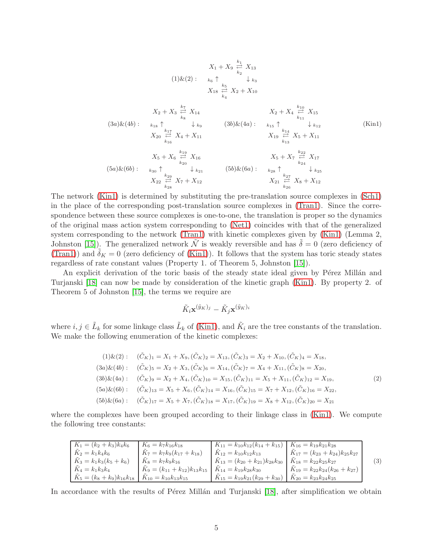$$
X_{1} + X_{9} \stackrel{k_{1}}{\underset{k_{2}}{\rightleftharpoons}} X_{13}
$$
\n
$$
(1) \& (2): \quad k_{6} \uparrow \quad \downarrow k_{3}
$$
\n
$$
X_{18} \stackrel{k_{5}}{\underset{k_{4}}{\rightleftharpoons}} X_{2} + X_{10}
$$
\n
$$
X_{2} + X_{3} \stackrel{k_{7}}{\underset{k_{8}}{\rightleftharpoons}} X_{14}
$$
\n
$$
(3a) \& (4b): \quad k_{18} \uparrow \quad \downarrow k_{9} \qquad (3b) \& (4a): \quad k_{15} \uparrow \quad \downarrow k_{12}
$$
\n
$$
X_{20} \stackrel{k_{17}}{\underset{k_{16}}{\rightleftharpoons}} X_{4} + X_{11}
$$
\n
$$
X_{5} + X_{6} \stackrel{k_{19}}{\underset{k_{20}}{\rightleftharpoons}} X_{16}
$$
\n
$$
(5a) \& (6b): \quad k_{30} \uparrow \quad \downarrow k_{21} \qquad (5b) \& (6a): \quad k_{28} \uparrow \quad \downarrow k_{24}
$$
\n
$$
X_{21} \stackrel{k_{27}}{\underset{k_{24}}{\rightleftharpoons}} X_{3} + X_{12}
$$
\n
$$
(5b) \stackrel{k_{18}}{\rightleftharpoons} X_{3} + X_{12}
$$

The network [\(Kin1\)](#page-4-0) is determined by substituting the pre-translation source complexes in [\(Sch1\)](#page-3-0) in the place of the corresponding post-translation source complexes in [\(Tran1\)](#page-3-1). Since the correspondence between these source complexes is one-to-one, the translation is proper so the dynamics of the original mass action system corresponding to [\(Net1\)](#page-2-1) coincides with that of the generalized system corresponding to the network [\(Tran1\)](#page-3-1) with kinetic complexes given by [\(Kin1\)](#page-4-0) (Lemma 2, Johnston [\[15\]](#page-12-4)). The generalized network  $\tilde{\mathcal{N}}$  is weakly reversible and has  $\tilde{\delta} = 0$  (zero deficiency of [\(Tran1\)](#page-3-1)) and  $\tilde{\delta}_K = 0$  (zero deficiency of [\(Kin1\)](#page-4-0)). It follows that the system has toric steady states regardless of rate constant values (Property 1. of Theorem 5, Johnston [\[15\]](#page-12-4)).

An explicit derivation of the toric basis of the steady state ideal given by Pérez Millán and Turjanski [\[18\]](#page-12-0) can now be made by consideration of the kinetic graph [\(Kin1\)](#page-4-0). By property 2. of Theorem 5 of Johnston [\[15\]](#page-12-4), the terms we require are

<span id="page-4-0"></span>
$$
\tilde{K}_i \mathbf{x}^{(\tilde{y}_K)_j} - \tilde{K}_j \mathbf{x}^{(\tilde{y}_K)_i}
$$

where  $i, j \in \tilde{L}_k$  for some linkage class  $\tilde{L}_k$  of [\(Kin1\)](#page-4-0), and  $\tilde{K}_i$  are the tree constants of the translation. We make the following enumeration of the kinetic complexes:

$$
(1)\& (2): \quad (\tilde{C}_K)_1 = X_1 + X_9, (\tilde{C}_K)_2 = X_{13}, (\tilde{C}_K)_3 = X_2 + X_{10}, (\tilde{C}_K)_4 = X_{18},
$$
\n
$$
(3a)\& (4b): \quad (\tilde{C}_K)_5 = X_2 + X_3, (\tilde{C}_K)_6 = X_{14}, (\tilde{C}_K)_7 = X_4 + X_{11}, (\tilde{C}_K)_8 = X_{20},
$$
\n
$$
(3b)\& (4a): \quad (\tilde{C}_K)_9 = X_2 + X_4, (\tilde{C}_K)_{10} = X_{15}, (\tilde{C}_K)_{11} = X_5 + X_{11}, (\tilde{C}_K)_{12} = X_{19},
$$
\n
$$
(5a)\& (6b): \quad (\tilde{C}_K)_{13} = X_5 + X_6, (\tilde{C}_K)_{14} = X_{16}, (\tilde{C}_K)_{15} = X_7 + X_{12}, (\tilde{C}_K)_{16} = X_{22},
$$
\n
$$
(5b)\& (6a): \quad (\tilde{C}_K)_{17} = X_5 + X_7, (\tilde{C}_K)_{18} = X_{17}, (\tilde{C}_K)_{19} = X_8 + X_{12}, (\tilde{C}_K)_{20} = X_{21}
$$
\n
$$
(6a)\& (6b): \quad (\tilde{C}_K)_{17} = X_5 + X_7, (\tilde{C}_K)_{18} = X_{17}, (\tilde{C}_K)_{19} = X_8 + X_{12}, (\tilde{C}_K)_{20} = X_{21}
$$

where the complexes have been grouped according to their linkage class in [\(Kin1\)](#page-4-0). We compute the following tree constants:

| $K_1 = (k_2 + k_3)k_4k_6$       | $K_6 = k_7 k_{16} k_{18}$             | $K_{11} = k_{10}k_{12}(k_{14} + k_{15})$         | $K_{16} = k_{19}k_{21}k_{28}$                |                  |
|---------------------------------|---------------------------------------|--------------------------------------------------|----------------------------------------------|------------------|
| $K_2 = k_1 k_4 k_6$             | $K_7 = k_7k_9(k_{17} + k_{18})$       | $K_{12} = k_{10}k_{12}k_{13}$                    | $\tilde{K}_{17}=(k_{23}+k_{24})k_{25}k_{27}$ |                  |
| $K_3 = k_1k_3(k_5 + k_6)$       | $K_8 = k_7 k_9 k_{16}$                | $K_{13} = (k_{20} + k_{21})k_{28}k_{30}$         | $K_{18} = k_{22} k_{25} k_{27}$              | $\left(3\right)$ |
| $K_4 = k_1 k_3 k_4$             | $K_9 = (k_{11} + k_{12})k_{13}k_{15}$ | $K_{14} = k_{19}k_{28}k_{30}$                    | $K_{19} = k_{22}k_{24}(k_{26} + k_{27})$     |                  |
| $K_5 = (k_8 + k_9)k_{16}k_{18}$ | $K_{10} = k_{10}k_{13}k_{15}$         | $\tilde{K}_{15} = k_{19}k_{21}(k_{29} + k_{30})$ | $K_{20}=k_{23}k_{24}k_{25}$                  |                  |

In accordance with the results of Pérez Millán and Turjanski [\[18\]](#page-12-0), after simplification we obtain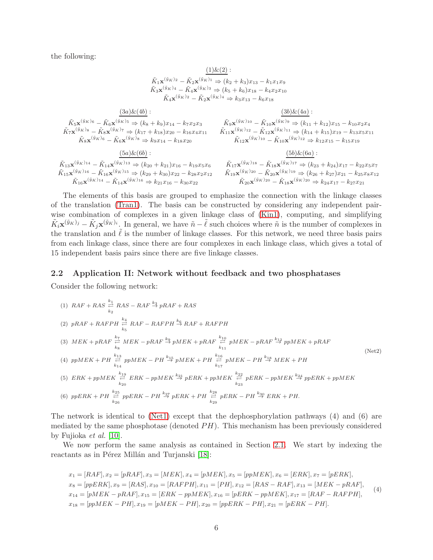the following:

## $(1)$ & $(2)$  :

 $\tilde{K}_1 \mathbf{x}^{(\tilde{y}_K)} - \tilde{K}_2 \mathbf{x}^{(\tilde{y}_K)} \Rightarrow (k_2 + k_3)x_{13} - k_1x_1x_9$  $\tilde{K}_3 \mathbf{x}^{(\tilde{y}_K)_4} - \tilde{K}_4 \mathbf{x}^{(\tilde{y}_K)_3} \Rightarrow (k_5 + k_6) x_{18} - k_4 x_2 x_{10}$  $\tilde{K}_4 \mathbf{x}^{(\tilde{y}_K)_2} - \tilde{K}_2 \mathbf{x}^{(\tilde{y}_K)_4} \Rightarrow k_3 x_{13} - k_6 x_{18}$ 

$$
\tilde{K}_{5}\mathbf{x}^{(\tilde{y}_{K})_{6}} - \tilde{K}_{6}\mathbf{x}^{(\tilde{y}_{K})_{5}} \Rightarrow (k_{8} + k_{9})x_{14} - k_{7}x_{2}x_{3} \qquad \qquad \tilde{K}_{9}\mathbf{x}^{(\tilde{y}_{K})_{10}} - \tilde{K}_{10}\mathbf{x}^{(\tilde{y}_{K})_{9}} \Rightarrow (k_{11} + k_{12})x_{15} - k_{10}x_{2}x_{4} \n\tilde{K}_{7}\mathbf{x}^{(\tilde{y}_{K})_{8}} - \tilde{K}_{8}\mathbf{x}^{(\tilde{y}_{K})_{7}} \Rightarrow (k_{17} + k_{18})x_{20} - k_{16}x_{4}x_{11} \qquad \qquad \tilde{K}_{11}\mathbf{x}^{(\tilde{y}_{K})_{12}} - \tilde{K}_{12}\mathbf{x}^{(\tilde{y}_{K})_{11}} \Rightarrow (k_{14} + k_{15})x_{19} - k_{13}x_{5}x_{11} \n\tilde{K}_{8}\mathbf{x}^{(\tilde{y}_{K})_{6}} - \tilde{K}_{6}\mathbf{x}^{(\tilde{y}_{K})_{8}} \Rightarrow k_{9}x_{14} - k_{18}x_{20} \qquad \qquad \tilde{K}_{12}\mathbf{x}^{(\tilde{y}_{K})_{10}} - \tilde{K}_{10}\mathbf{x}^{(\tilde{y}_{K})_{12}} \Rightarrow k_{12}x_{15} - k_{15}x_{19} \n\underbrace{(5a)\&(6b)}: \qquad \qquad \frac{(5b)\&(6a)}{}
$$

 $\tilde K_{13} {\bf x}^{(\tilde y_K)_{14}} - \tilde K_{14} {\bf x}^{(\tilde y_K)_{13}} \Rightarrow (k_{20}+k_{21}) x_{16} - k_{19} x_5 x_6$  $\tilde K_{15} {\bf x}^{(\tilde y_K)_{16}} - \tilde K_{16} {\bf x}^{(\tilde y_K)_{15}} \Rightarrow (k_{29}+k_{30}) x_{22} - k_{28} x_2 x_{12}$  $\tilde{K}_{16} \mathbf{x}^{(\tilde{y}_K)_{14}} - \tilde{K}_{14} \mathbf{x}^{(\tilde{y}_K)_{16}} \Rightarrow k_{21} x_{16} - k_{30} x_{22}$ 

 $\tilde K_{17} {\bf x}^{(\tilde y_K)_{18}} - \tilde K_{18} {\bf x}^{(\tilde y_K)_{17}} \Rightarrow (k_{23} + k_{24}) x_{17} - k_{22} x_5 x_7$  $\tilde K_{19} {\bf x}^{(\tilde y_K)_{20}} - \tilde K_{20} {\bf x}^{(\tilde y_K)_{19}} \Rightarrow (k_{26}+k_{27}) x_{21} - k_{25} x_8 x_{12}$  $\tilde K_{20} {\bf x}^{(\tilde y_K)_{20}} - \tilde K_{18} {\bf x}^{(\tilde y_K)_{20}} \Rightarrow k_{24} x_{17} - k_{27} x_{21}$ 

The elements of this basis are grouped to emphasize the connection with the linkage classes of the translation [\(Tran1\)](#page-3-1). The basis can be constructed by considering any independent pairwise combination of complexes in a given linkage class of [\(Kin1\)](#page-4-0), computing, and simplifying  $\tilde{K}_i \mathbf{x}^{(\tilde{y}_K)_{i}} - \tilde{K}_j \mathbf{x}^{(\tilde{y}_K)_{i}}$ . In general, we have  $\tilde{n} - \tilde{\ell}$  such choices where  $\tilde{n}$  is the number of complexes in the translation and  $\tilde{\ell}$  is the number of linkage classes. For this network, we need three basis pairs from each linkage class, since there are four complexes in each linkage class, which gives a total of 15 independent basis pairs since there are five linkage classes.

#### <span id="page-5-0"></span>2.2 Application II: Network without feedback and two phosphatases

Consider the following network:

(1) 
$$
RAF + RAS \stackrel{k_1}{\rightleftarrows} RAS - RAF \stackrel{k_3}{\rightarrow} pRAF + RAS
$$
  
\n(2)  $pRAF + RAFPH \stackrel{k_4}{\rightleftarrows} RAF - RAFPH \stackrel{k_6}{\rightarrow} RAF + RAFPH$   
\n(3)  $MEK + pRAF \stackrel{k_7}{\rightleftarrows} MEK - pRAF \stackrel{k_9}{\rightarrow} pMEK + pRAF \stackrel{k_{10}}{\rightleftarrows} pMEK - pRAF \stackrel{k_{12}}{\rightarrow} pMEK + pRAF$   
\n(4)  $ppMEK + PH \stackrel{k_{13}}{\rightleftarrows} ppMEK - PH \stackrel{k_{15}}{\rightarrow} pMEK + PH \stackrel{k_{16}}{\rightleftarrows} pMEK - PH \stackrel{k_{18}}{\rightarrow} MEK + PH$   
\n(5)  $ERK + ppMEK \stackrel{k_{19}}{\rightleftarrows} ERK - ppMEK \stackrel{k_{21}}{\rightarrow} pERK + ppMEK \stackrel{k_{22}}{\rightleftarrows} pERK - ppMEK \stackrel{k_{24}}{\rightarrow} pERK + ppMEK$   
\n(6)  $ppERK + PH \stackrel{k_{12}}{\rightleftarrows} pERK - PH \stackrel{k_{25}}{\rightarrow} pERK + PH \stackrel{k_{28}}{\rightleftarrows} pERK - PH \stackrel{k_{28}}{\rightarrow} pERK - PH \stackrel{k_{30}}{\rightarrow} ERK + PH$ .

The network is identical to [\(Net1\)](#page-2-1) except that the dephosphorylation pathways (4) and (6) are mediated by the same phosphotase (denoted  $PH$ ). This mechanism has been previously considered by Fujioka et al. [\[10\]](#page-12-9).

We now perform the same analysis as contained in Section [2.1.](#page-2-0) We start by indexing the reactants as in Pérez Millán and Turjanski [\[18\]](#page-12-0):

<span id="page-5-1"></span>
$$
x_1 = [RAF], x_2 = [pRAF], x_3 = [MEK], x_4 = [pMEK], x_5 = [ppMEK], x_6 = [ERK], x_7 = [pERK],
$$
  
\n
$$
x_8 = [ppERK], x_9 = [RAS], x_{10} = [RAFPH], x_{11} = [PH], x_{12} = [RAS - RAF], x_{13} = [MEK - pRAF],
$$
  
\n
$$
x_{14} = [pMEK - pRAF], x_{15} = [ERK - ppMEK], x_{16} = [pERK - ppMEK], x_{17} = [RAF - RAFPH],
$$
  
\n
$$
x_{18} = [ppMEK - PH], x_{19} = [pMEK - PH], x_{20} = [ppERK - PH], x_{21} = [pERK - PH].
$$
  
\n(4)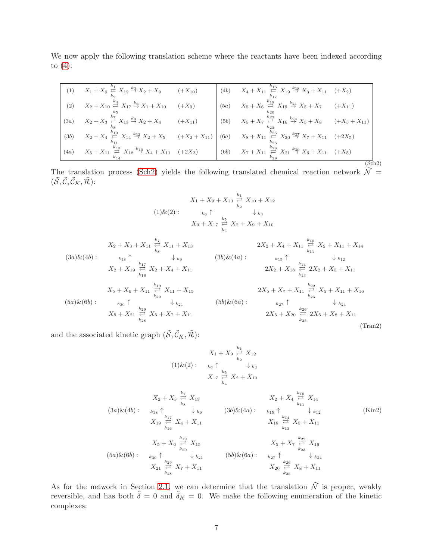We now apply the following translation scheme where the reactants have been indexed according to  $(4)$ :

| (1)  | $X_1 + X_9 \stackrel{k_1}{\rightleftarrows} X_{12} \stackrel{k_3}{\rightarrow} X_2 + X_9$ (+X <sub>10</sub> )                               |             | (4b) $X_4 + X_{11} \stackrel{k_{16}}{\underset{k_{17}}{\rightleftharpoons}} X_{19} \stackrel{k_{18}}{\rightarrow} X_3 + X_{11} \quad (+X_2)$  |       |
|------|---------------------------------------------------------------------------------------------------------------------------------------------|-------------|-----------------------------------------------------------------------------------------------------------------------------------------------|-------|
| (2)  | $X_2 + X_{10} \overset{k_4}{\underset{k_5}{\rightleftarrows}} X_{17} \overset{k_6}{\rightarrow} X_1 + X_{10}$                               | $(+X_9)$    | (5a) $X_5 + X_6 \stackrel{k_{19}}{\underset{k_{20}}{\rightleftharpoons}} X_{15} \stackrel{k_{21}}{\rightarrow} X_5 + X_7$ (+X <sub>11</sub> ) |       |
| (3a) | $X_2 + X_3 \stackrel{k_7}{\rightleftarrows} X_{13} \stackrel{k_9}{\rightarrow} X_2 + X_4$                                                   | $(+X_{11})$ | (5b) $X_5 + X_7 \stackrel{k_{22}}{\rightleftharpoons} X_{16} \stackrel{k_{24}}{\rightarrow} X_5 + X_8$ $(+X_5 + X_{11})$                      |       |
| (3b) | $X_2 + X_4 \stackrel{k_{10}}{\underset{k_{11}}{\rightleftharpoons}} X_{14} \stackrel{k_{12}}{\rightarrow} X_2 + X_5 \qquad (+X_2 + X_{11})$ |             | (6a) $X_8 + X_{11} \stackrel{k_{25}}{\rightleftharpoons} X_{20} \stackrel{k_{27}}{\rightarrow} X_7 + X_{11} \quad (+2X_5)$                    |       |
| (4a) | $X_5 + X_{11} \stackrel{k_{13}}{\rightleftharpoons} X_{18} \stackrel{k_{15}}{\rightarrow} X_4 + X_{11} \quad (+2X_2)$                       |             | (6b) $X_7 + X_{11} \stackrel{k_{28}}{\rightleftharpoons} X_{21} \stackrel{k_{30}}{\rightarrow} X_6 + X_{11} \quad (+X_5)$                     |       |
|      |                                                                                                                                             |             |                                                                                                                                               | Sch2) |

The translation process [\(Sch2\)](#page-6-0) yields the following translated chemical reaction network  $\tilde{\mathcal{N}} =$  $(\tilde{\mathcal{S}}, \tilde{\mathcal{C}}, \tilde{\mathcal{C}}_K, \tilde{\mathcal{R}})$ :

<span id="page-6-1"></span><span id="page-6-0"></span>
$$
X_1 + X_9 + X_{10} \underset{k_2}{\overset{k_1}{\rightleftharpoons}} X_{10} + X_{12}
$$
  
(1) $\&$ (2):  

$$
K_6 \uparrow \qquad \downarrow k_3
$$
  

$$
X_9 + X_{17} \underset{k_4}{\overset{k_5}{\rightleftharpoons}} X_2 + X_9 + X_{10}
$$

$$
X_2 + X_3 + X_{11} \underset{k_8}{\overset{k_7}{\rightleftharpoons}} X_{11} + X_{13}
$$
\n
$$
(3a) \& (4b): \qquad \underset{k_{18}}{\underset{k_{18}}{\rightleftharpoons}} X_2 + X_{11} \underset{k_{19}}{\overset{k_{17}}{\rightleftharpoons}} X_1 + X_{13}
$$
\n
$$
X_2 + X_{19} \underset{k_{16}}{\overset{k_{17}}{\rightleftharpoons}} X_2 + X_4 + X_{11}
$$
\n
$$
X_5 + X_6 + X_{11} \underset{k_{20}}{\overset{k_{19}}{\rightleftharpoons}} X_{11} + X_{15}
$$
\n
$$
(5a) \& (6b): \qquad \underset{k_{30}}{\underset{k_{30}}{\rightleftharpoons}} \uparrow \qquad \underset{k_{21}}{\underset{k_{22}}{\rightleftharpoons}} X_5 + X_7 + X_{11}
$$
\n
$$
X_5 + X_{21} \underset{k_{23}}{\overset{k_{29}}{\rightleftharpoons}} X_5 + X_7 + X_{11}
$$
\n
$$
(5b) \& (6a): \qquad \underset{k_{27}}{\underset{k_{27}}{\rightleftharpoons}} \uparrow \qquad \underset{k_{26}}{\underset{k_{26}}{\rightleftharpoons}} 2X_5 + X_8 + X_{11}
$$
\n
$$
2X_5 + X_{20} \underset{k_{25}}{\overset{k_{29}}{\rightleftharpoons}} 2X_5 + X_7 + X_{11}
$$
\n
$$
(7\text{ran}2)
$$

and the associated kinetic graph  $(\tilde{S}, \tilde{C}_K, \tilde{\mathcal{R}})$ :

$$
X_{1} + X_{9} \stackrel{k_{1}}{\underset{k_{2}}{\rightleftharpoons}} X_{12}
$$
\n
$$
(1) \& (2): \quad k_{6} \uparrow \quad \downarrow k_{8}
$$
\n
$$
X_{17} \stackrel{k_{5}}{\underset{k_{4}}{\rightleftharpoons}} X_{2} + X_{10}
$$
\n
$$
X_{2} + X_{3} \stackrel{k_{7}}{\underset{k_{8}}{\rightleftharpoons}} X_{13}
$$
\n
$$
(3a) \& (4b): \quad k_{18} \uparrow \quad \downarrow k_{9} \qquad (3b) \& (4a): \quad k_{15} \uparrow \quad \downarrow k_{12}
$$
\n
$$
X_{19} \stackrel{k_{17}}{\underset{k_{16}}{\rightleftharpoons}} X_{4} + X_{11}
$$
\n
$$
X_{5} + X_{6} \stackrel{k_{19}}{\underset{k_{20}}{\rightleftharpoons}} X_{15}
$$
\n
$$
(5a) \& (6b): \quad k_{30} \uparrow \quad \downarrow k_{21} \qquad (5b) \& (6a): \quad k_{27} \uparrow \quad \downarrow k_{24}
$$
\n
$$
X_{21} \stackrel{k_{29}}{\underset{k_{28}}{\rightleftharpoons}} X_{7} + X_{11}
$$
\n
$$
X_{32} \stackrel{k_{28}}{\underset{k_{28}}{\rightleftharpoons}} X_{7} + X_{11}
$$
\n
$$
X_{42} \stackrel{k_{29}}{\underset{k_{28}}{\rightleftharpoons}} X_{7} + X_{11}
$$
\n
$$
X_{53} \stackrel{k_{20}}{\rightleftharpoons} X_{8} + X_{11}
$$

As for the network in Section [2.1,](#page-2-0) we can determine that the translation  $\tilde{\mathcal{N}}$  is proper, weakly reversible, and has both  $\tilde{\delta} = 0$  and  $\tilde{\delta}_K = 0$ . We make the following enumeration of the kinetic complexes: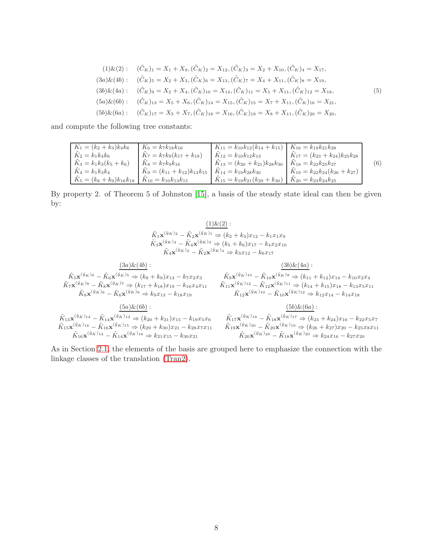$$
(1)\&(2): \quad (\tilde{C}_K)_1 = X_1 + X_9, (\tilde{C}_K)_2 = X_{12}, (\tilde{C}_K)_3 = X_2 + X_{10}, (\tilde{C}_K)_4 = X_{17},
$$
\n
$$
(3a)\&(4b): \quad (\tilde{C}_K)_5 = X_2 + X_3, (\tilde{C}_K)_6 = X_{13}, (\tilde{C}_K)_7 = X_4 + X_{11}, (\tilde{C}_K)_8 = X_{19},
$$
\n
$$
(3b)\&(4a): \quad (\tilde{C}_K)_9 = X_2 + X_4, (\tilde{C}_K)_{10} = X_{14}, (\tilde{C}_K)_{11} = X_5 + X_{11}, (\tilde{C}_K)_{12} = X_{18},
$$
\n
$$
(5a)\&(6b): \quad (\tilde{C}_K)_{13} = X_5 + X_6, (\tilde{C}_K)_{14} = X_{15}, (\tilde{C}_K)_{15} = X_7 + X_{11}, (\tilde{C}_K)_{16} = X_{21},
$$
\n
$$
(5b)\&(6a): \quad (\tilde{C}_K)_{17} = X_5 + X_7, (\tilde{C}_K)_{18} = X_{16}, (\tilde{C}_K)_{19} = X_8 + X_{11}, (\tilde{C}_K)_{20} = X_{20},
$$
\n
$$
(6a)\&(6b): \quad (\tilde{C}_K)_1 = X_5 + X_7, (\tilde{C}_K)_1 = X_{16}, (\tilde{C}_K)_2 = X_8 + X_{11}, (\tilde{C}_K)_{20} = X_{20},
$$

and compute the following tree constants:

K˜<sup>1</sup> = (k<sup>2</sup> + k3)k4k<sup>6</sup> K˜<sup>6</sup> = k7k18k<sup>16</sup> K˜<sup>11</sup> = k10k12(k<sup>14</sup> + k15) K˜<sup>16</sup> = k19k21k<sup>28</sup> K˜<sup>2</sup> = k1k4k<sup>6</sup> K˜<sup>7</sup> = k7k9(k<sup>17</sup> + k18) K˜<sup>12</sup> = k10k12k<sup>13</sup> K˜<sup>17</sup> = (k<sup>23</sup> + k24)k25k<sup>28</sup> K˜<sup>3</sup> = k1k3(k<sup>5</sup> + k6) K˜<sup>8</sup> = k7k9k<sup>16</sup> K˜<sup>13</sup> = (k<sup>20</sup> + k21)k28k<sup>30</sup> K˜<sup>18</sup> = k22k25k<sup>27</sup> K˜<sup>4</sup> = k1k3k<sup>4</sup> K˜<sup>9</sup> = (k<sup>11</sup> + k12)k13k<sup>15</sup> K˜<sup>14</sup> = k19k28k<sup>30</sup> K˜<sup>19</sup> = k22k24(k<sup>26</sup> + k27) K˜<sup>5</sup> = (k<sup>8</sup> + k9)k16k<sup>18</sup> K˜<sup>10</sup> = k10k13k<sup>15</sup> K˜<sup>15</sup> = k19k21(k<sup>29</sup> + k30) K˜<sup>20</sup> = k23k24k<sup>25</sup> (6)

By property 2. of Theorem 5 of Johnston [\[15\]](#page-12-4), a basis of the steady state ideal can then be given by:

$$
\frac{(1) \& (2)}{\tilde{K}_1 \mathbf{x}^{(\tilde{y}_K)}^2 - \tilde{K}_2 \mathbf{x}^{(\tilde{y}_K)}^1} \Rightarrow (k_2 + k_3)x_{12} - k_1x_1x_9
$$
\n
$$
\tilde{K}_3 \mathbf{x}^{(\tilde{y}_K)}^4 - \tilde{K}_4 \mathbf{x}^{(\tilde{y}_K)}^3 \Rightarrow (k_5 + k_6)x_{17} - k_4x_2x_{10}
$$
\n
$$
\tilde{K}_4 \mathbf{x}^{(\tilde{y}_K)}^2 - \tilde{K}_2 \mathbf{x}^{(\tilde{y}_K)}^4 \Rightarrow k_3x_{12} - k_6x_{17}
$$

$$
\begin{array}{ccc}\n & \frac{(3a)\&(4b)}{\tilde{K}_{5}\mathbf{x}^{(\tilde{y}_{K})_{6}}-\tilde{K}_{6}\mathbf{x}^{(\tilde{y}_{K})_{5}}\Rightarrow(k_{8}+k_{9})x_{13}-k_{7}x_{2}x_{3}} & \tilde{K}_{9}\mathbf{x}^{(\tilde{y}_{K})_{10}}-\tilde{K}_{10}\mathbf{x}^{(\tilde{y}_{K})_{9}}\Rightarrow(k_{11}+k_{12})x_{14}-k_{10}x_{2}x_{4} \\
& \tilde{K}_{7}\mathbf{x}^{(\tilde{y}_{K})_{8}}-\tilde{K}_{8}\mathbf{x}^{(\tilde{y}_{K})_{7}}\Rightarrow(k_{17}+k_{18})x_{19}-k_{16}x_{4}x_{11} & \tilde{K}_{11}\mathbf{x}^{(\tilde{y}_{K})_{12}}-\tilde{K}_{12}\mathbf{x}^{(\tilde{y}_{K})_{11}}\Rightarrow(k_{14}+k_{15})x_{18}-k_{13}x_{5}x_{11} \\
& \tilde{K}_{8}\mathbf{x}^{(\tilde{y}_{K})_{6}}-\tilde{K}_{6}\mathbf{x}^{(\tilde{y}_{K})_{8}}\Rightarrow k_{9}x_{13}-k_{18}x_{19} & \tilde{K}_{12}\mathbf{x}^{(\tilde{y}_{K})_{10}}-\tilde{K}_{10}\mathbf{x}^{(\tilde{y}_{K})_{12}}\Rightarrow k_{12}x_{14}-k_{14}x_{18} \\
& \frac{(5a)\&(6b)}{\b}:\n\tilde{K}_{13}\mathbf{x}^{(\tilde{y}_{K})_{14}}-\tilde{K}_{14}\mathbf{x}^{(\tilde{y}_{K})_{13}}\Rightarrow(k_{20}+k_{21})x_{15}-k_{19}x_{5}x_{6} & \tilde{K}_{17}\mathbf{x}^{(\tilde{y}_{K})_{18}}-\tilde{K}_{18}\mathbf{x}^{(\tilde{y}_{K})_{17}}\Rightarrow(k_{23}+k_{24})x_{16}-k_{22}x_{5}x_{7} \\
& \tilde{K}_{15}\mathbf{x}^{(\tilde{y}_{K})_{16}}-\tilde{K}_{16}\mathbf{x}^{(\tilde{y}_{K})_{15}}\Rightarrow(k_{29}+k_{30
$$

As in Section [2.1,](#page-2-0) the elements of the basis are grouped here to emphasize the connection with the linkage classes of the translation [\(Tran2\)](#page-6-1).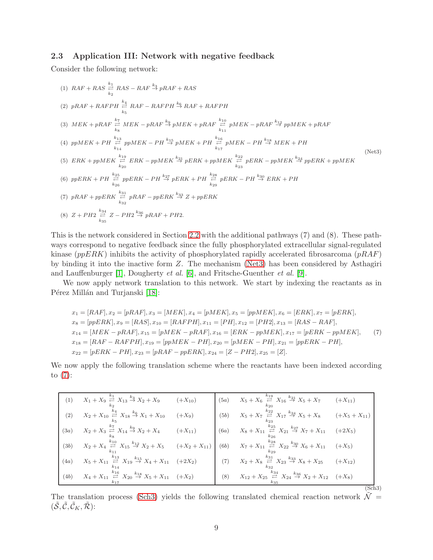#### <span id="page-8-0"></span>2.3 Application III: Network with negative feedback

Consider the following network:

<span id="page-8-1"></span>(1) 
$$
RAF + RAS \sum_{k_2}^{k_1} RAS - RAF \stackrel{k_3}{\to} pRAF + RAS
$$
  
\n(2)  $pRAF + RAFPH \stackrel{k_4}{\underset{k_5}{\rightleftharpoons}} RAF - RAFPH \stackrel{k_6}{\to} RAF + RAFPH$   
\n(3)  $MEK + pRAF \stackrel{k_7}{\underset{k_8}{\rightleftharpoons}} MEK - pRAF \stackrel{k_9}{\to} pMEK + pRAF \stackrel{k_{10}}{\underset{k_{11}}{\rightleftharpoons}} pMEK - pRAF \stackrel{k_{12}}{\to} pMEK + pRAF$   
\n(4)  $ppMEK + PH \stackrel{k_{13}}{\underset{k_{14}}{\rightleftharpoons}} pMEK - PH \stackrel{k_{15}}{\rightleftharpoons} pMEK + PH \stackrel{k_{16}}{\underset{k_{17}}{\rightleftharpoons}} pMEK - PH \stackrel{k_{18}}{\xrightarrow{5}} MEK + PH$   
\n(5)  $ERK + ppMEK \stackrel{k_{19}}{\rightleftharpoons} ERK - ppMEK \stackrel{k_{21}}{\to} pERK + ppMEK \stackrel{k_{22}}{\rightleftharpoons} pERK - ppMEK \stackrel{k_{24}}{\xrightarrow{5}} pERK + ppMEK \stackrel{k_{25}}{\rightleftharpoons} pERK + PH \stackrel{k_{26}}{\rightleftharpoons} pERK + PH \stackrel{k_{26}}{\rightleftharpoons} pERK + PH \stackrel{k_{27}}{\rightleftharpoons} pERK + PH \stackrel{k_{28}}{\rightleftharpoons} pERK - PH \stackrel{k_{29}}{\rightleftharpoons} pERK + PH$   
\n(7)  $pRAF + ppERK \stackrel{k_{31}}{\underset{k_{32}}{\rightleftharpoons}} pRAF - ppERK \stackrel{k_{33}}{\rightleftharpoons} Z + ppERK$   
\n(8)  $Z + PH2 \stackrel{k_{34}}{\underset{k_{35}}{\rightleftharpoons}} Z - PH2 \stackrel{k_{36}}{\rightleftharpoons} pRAF + PH2$ .

This is the network considered in Section [2.2](#page-5-0) with the additional pathways (7) and (8). These pathways correspond to negative feedback since the fully phosphorylated extracellular signal-regulated kinase ( $ppERK$ ) inhibits the activity of phosphorylated rapidly accelerated fibrosarcoma ( $pRAF$ ) by binding it into the inactive form Z. The mechanism [\(Net3\)](#page-8-1) has been considered by Asthagiri and Lauffenburger [\[1\]](#page-11-5), Dougherty et al. [\[6\]](#page-11-6), and Fritsche-Guenther et al. [\[9\]](#page-11-7).

We now apply network translation to this network. We start by indexing the reactants as in Pérez Millán and Turjanski [\[18\]](#page-12-0):

<span id="page-8-2"></span>
$$
x_1 = [RAF], x_2 = [pRAF], x_3 = [MEK], x_4 = [pMEK], x_5 = [ppMEK], x_6 = [ERK], x_7 = [pERK], x_8 = [ppERK], x_8 = [ppERK], x_9 = [RAS], x_{10} = [RAFPH], x_{11} = [PH], x_{12} = [PH2], x_{13} = [RAS - RAF], x_{14} = [MEK - pRAF], x_{15} = [pMEK - pRAF], x_{16} = [ERK - ppMEK], x_{17} = [pERK - ppMEK], x_{18} = [RAF - RAFPH], x_{19} = [ppMEK - PH], x_{20} = [pMEK - PH], x_{21} = [ppERK - PH], x_{22} = [pERK - PH], x_{23} = [pRAF - ppERK], x_{24} = [Z - PH2], x_{25} = [Z].
$$
\n
$$
(7)
$$

We now apply the following translation scheme where the reactants have been indexed according to  $(7)$ :

|      | (1) $X_1 + X_9 \stackrel{k_1}{\rightleftharpoons} X_{13} \stackrel{k_3}{\rightarrow} X_2 + X_9$ (+X <sub>10</sub> )       |             |      | (5a) $X_5 + X_6 \stackrel{k_{19}}{\rightleftharpoons} X_{16} \stackrel{k_{21}}{\rightarrow} X_5 + X_7$ (+X <sub>11</sub> )  |             |
|------|---------------------------------------------------------------------------------------------------------------------------|-------------|------|-----------------------------------------------------------------------------------------------------------------------------|-------------|
| (2)  | $X_2 + X_{10} \stackrel{k_4}{\rightleftharpoons} X_{18} \stackrel{k_6}{\rightarrow} X_1 + X_{10}$                         | $(+X_9)$    | (5b) | $X_5 + X_7 \stackrel{k_{22}}{\rightleftarrows} X_{17} \stackrel{k_{24}}{\rightarrow} X_5 + X_8$ $(+X_5 + X_{11})$           |             |
| (3a) | $X_2 + X_3 \stackrel{k_7}{\rightleftarrows} X_{14} \stackrel{k_9}{\rightarrow} X_2 + X_4$                                 | $(+X_{11})$ |      | (6a) $X_8 + X_{11} \stackrel{k_{25}}{\rightleftharpoons} X_{21} \stackrel{k_{27}}{\rightarrow} X_7 + X_{11} \quad (+2X_5)$  |             |
| (3b) | $X_2 + X_4 \stackrel{k_{10}}{\rightleftharpoons} X_{15} \stackrel{k_{12}}{\rightarrow} X_2 + X_5 \qquad (+X_2 + X_{11})$  |             |      | (6b) $X_7 + X_{11} \stackrel{k_{28}}{\rightleftharpoons} X_{22} \stackrel{k_{30}}{\rightarrow} X_6 + X_{11} \quad (+X_5)$   |             |
| (4a) | $X_5 + X_{11} \stackrel{k_{13}}{\rightleftarrows} X_{19} \stackrel{k_{15}}{\rightarrow} X_4 + X_{11} \quad (+2X_2)$       |             |      | (7) $X_2 + X_8 \stackrel{k_{31}}{\rightleftharpoons} X_{23} \stackrel{k_{33}}{\rightarrow} X_8 + X_{25}$                    | $(+X_{12})$ |
|      | (4b) $X_4 + X_{11} \stackrel{k_{16}}{\rightleftharpoons} X_{20} \stackrel{k_{18}}{\rightarrow} X_5 + X_{11} \quad (+X_2)$ |             |      | (8) $X_{12} + X_{25} \stackrel{k_{34}}{\rightleftharpoons} X_{24} \stackrel{k_{36}}{\rightarrow} X_2 + X_{12} \quad (+X_8)$ |             |
|      |                                                                                                                           |             |      |                                                                                                                             | (Sch3)      |

<span id="page-8-3"></span>The translation process [\(Sch3\)](#page-8-3) yields the following translated chemical reaction network  $\mathcal{N} =$  $(\tilde{\mathcal{S}}, \tilde{\mathcal{C}}, \tilde{\mathcal{C}}_K, \tilde{\mathcal{R}})$ :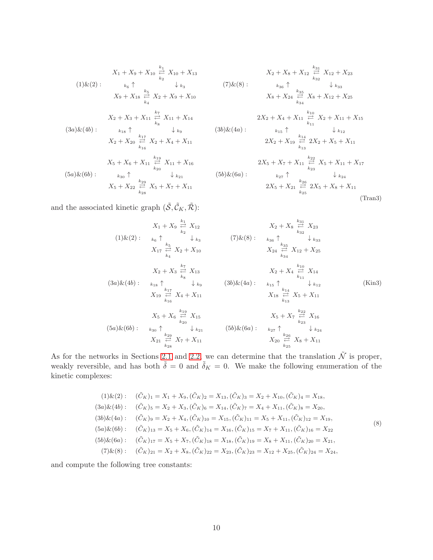$$
X_1 + X_9 + X_{10} \xrightarrow{k_1}^{k_1} X_{10} + X_{13}
$$
  
\n
$$
(1) \& (2): \qquad k_6 \uparrow \qquad \qquad k_8
$$
  
\n
$$
X_9 + X_{18} \xrightarrow{k_5}^{k_5} X_2 + X_9 + X_{10}
$$
  
\n
$$
X_2 + X_3 + X_{11} \xrightarrow{k_7}^{k_7} X_{11} + X_{14}
$$
  
\n
$$
(3a) \& (4b): \qquad k_{18} \uparrow \qquad \qquad k_{8}
$$
  
\n
$$
X_2 + X_{20} \xrightarrow{k_{17}}^{k_{17}} X_2 + X_4 + X_{11}
$$
  
\n
$$
X_5 + X_6 + X_{11} \xrightarrow{k_{19}}^{k_{19}} X_{11} + X_{16}
$$
  
\n
$$
(5a) \& (6b): \qquad k_{30} \uparrow \qquad \qquad k_{21}
$$
  
\n
$$
X_5 + X_{22} \xrightarrow{k_{29}}^{k_{29}} X_5 + X_7 + X_{11}
$$

<span id="page-9-0"></span>
$$
X_2 + X_8 + X_{12} \underset{k_{32}}{\overset{k_{31}}{\rightleftharpoons}} X_{12} + X_{23}
$$
\n
$$
(7) \& (8): \qquad \underset{k_{36}}{\underset{k_{36}}{\rightleftharpoons}} \underset{k_{33}}{\uparrow} \qquad \underset{k_{33}}{\downarrow} k_{33}
$$
\n
$$
X_8 + X_{24} \underset{k_{34}}{\overset{k_{35}}{\rightleftharpoons}} X_8 + X_{12} + X_{25}
$$
\n
$$
2X_2 + X_4 + X_{11} \underset{k_{11}}{\overset{k_{10}}{\rightleftharpoons}} X_2 + X_{11} + X_{15}
$$
\n
$$
(3b) \& (4a): \qquad \underset{k_{15}}{\underset{k_{15}}{\rightleftharpoons}} \uparrow \qquad \underset{k_{13}}{\downarrow} k_{12}
$$
\n
$$
2X_2 + X_{19} \underset{k_{13}}{\overset{k_{14}}{\rightleftharpoons}} 2X_2 + X_5 + X_{11}
$$
\n
$$
2X_5 + X_7 + X_{11} \underset{k_{23}}{\overset{k_{22}}{\rightleftharpoons}} X_5 + X_{11} + X_{17}
$$
\n
$$
(5b) \& (6a): \qquad \underset{k_{27}}{\underset{k_{27}}{\rightleftharpoons}} \uparrow \qquad \underset{k_{24}}{\downarrow} k_{24}
$$
\n
$$
2X_5 + X_{21} \underset{k_{25}}{\overset{k_{26}}{\rightleftharpoons}} 2X_5 + X_8 + X_{11}
$$
\n
$$
(Trans3)
$$

and the associated kinetic graph  $(\tilde{\mathcal{S}}, \tilde{\mathcal{C}}_K, \tilde{\mathcal{R}})$ :

$$
X_{1} + X_{9} \underset{k_{2}}{\rightleftharpoons} X_{12}
$$
\n
$$
(1) \& (2): \quad\n k_{6} \uparrow \qquad \n \downarrow k_{3} \qquad (7) \& (8): \quad\n k_{36} \uparrow \qquad \n \downarrow k_{33}
$$
\n
$$
X_{17} \underset{k_{4}}{\rightleftharpoons} X_{2} + X_{10}
$$
\n
$$
X_{24} \underset{k_{34}}{\rightleftharpoons} X_{12} + X_{25}
$$
\n
$$
X_{24} \underset{k_{34}}{\rightleftharpoons} X_{12} + X_{25}
$$
\n
$$
(3a) \& (4b): \quad\n k_{18} \uparrow \qquad \n \downarrow k_{9} \qquad (3b) \& (4a): \quad\n k_{15} \uparrow \qquad \n \downarrow k_{12}
$$
\n
$$
X_{19} \underset{k_{16}}{\rightleftharpoons} X_{4} + X_{11}
$$
\n
$$
X_{5} + X_{6} \underset{k_{20}}{\rightleftharpoons} X_{15}
$$
\n
$$
(5a) \& (6b): \quad\n k_{30} \uparrow \qquad \n \downarrow k_{21} \qquad (5b) \& (6a): \quad\n k_{27} \uparrow \qquad \n \downarrow k_{24}
$$
\n
$$
X_{20} \underset{k_{25}}{\rightleftharpoons} X_{8} + X_{11}
$$
\n
$$
X_{21} \underset{k_{28}}{\rightleftharpoons} X_{7} + X_{11}
$$
\n
$$
X_{32} \underset{k_{28}}{\rightleftharpoons} X_{7} + X_{11}
$$
\n
$$
(5b) \& (6a): \quad\n k_{27} \uparrow \qquad \n \downarrow k_{24}
$$
\n
$$
X_{36} \uparrow \qquad \n \downarrow k_{24}
$$
\n
$$
X_{37} \downarrow \frac{k_{28}}{k_{28}}
$$

As for the networks in Sections [2.1](#page-2-0) and [2.2,](#page-5-0) we can determine that the translation  $\tilde{\mathcal{N}}$  is proper, weakly reversible, and has both  $\tilde{\delta} = 0$  and  $\tilde{\delta}_K = 0$ . We make the following enumeration of the kinetic complexes:

$$
(1) \& (2): \quad (\tilde{C}_K)_1 = X_1 + X_9, (\tilde{C}_K)_2 = X_{13}, (\tilde{C}_K)_3 = X_2 + X_{10}, (\tilde{C}_K)_4 = X_{18},
$$
\n
$$
(3a) \& (4b): \quad (\tilde{C}_K)_5 = X_2 + X_3, (\tilde{C}_K)_6 = X_{14}, (\tilde{C}_K)_7 = X_4 + X_{11}, (\tilde{C}_K)_8 = X_{20},
$$
\n
$$
(3b) \& (4a): \quad (\tilde{C}_K)_9 = X_2 + X_4, (\tilde{C}_K)_{10} = X_{15}, (\tilde{C}_K)_{11} = X_5 + X_{11}, (\tilde{C}_K)_{12} = X_{19},
$$
\n
$$
(5a) \& (6b): \quad (\tilde{C}_K)_{13} = X_5 + X_6, (\tilde{C}_K)_{14} = X_{16}, (\tilde{C}_K)_{15} = X_7 + X_{11}, (\tilde{C}_K)_{16} = X_{22}
$$
\n
$$
(5b) \& (6a): \quad (\tilde{C}_K)_{17} = X_5 + X_7, (\tilde{C}_K)_{18} = X_{18}, (\tilde{C}_K)_{19} = X_8 + X_{11}, (\tilde{C}_K)_{20} = X_{21},
$$
\n
$$
(7) \& (8): \quad (\tilde{C}_K)_{21} = X_2 + X_8, (\tilde{C}_K)_{22} = X_{23}, (\tilde{C}_K)_{23} = X_{12} + X_{25}, (\tilde{C}_K)_{24} = X_{24},
$$

and compute the following tree constants: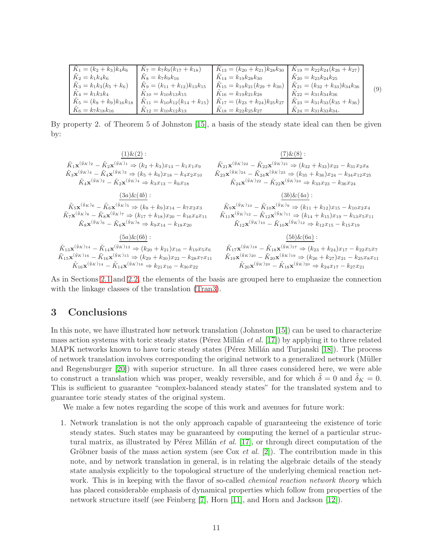| $K_1 = (k_2 + k_3)k_4k_6$               | $K_7 = k_7k_9(k_{17} + k_{18})$          | $K_{13} = (k_{20} + k_{21})k_{28}k_{30}$         | $K_{19} = k_{22}k_{24}(k_{26} + k_{27})$ |     |
|-----------------------------------------|------------------------------------------|--------------------------------------------------|------------------------------------------|-----|
| $K_2 = k_1 k_4 k_6$                     | $K_8 = k_7 k_9 k_{16}$                   | $K_{14} = k_{19}k_{28}k_{30}$                    | $K_{20} = k_{23} k_{24} k_{25}$          |     |
| $\tilde{K}_3 = k_1 k_3 (k_5 + k_6)$     | $K_9 = (k_{11} + k_{12})k_{13}k_{15}$    | $K_{15} = k_{19}k_{21}(k_{29} + k_{30})$         | $K_{21} = (k_{32} + k_{33})k_{34}k_{36}$ |     |
| $K_4 = k_1 k_3 k_4$                     | $K_{10} = k_{10}k_{13}k_{15}$            | $K_{16} = k_{19}k_{21}k_{28}$                    | $K_{22} = k_{31}k_{34}k_{36}$            | (9) |
| $\tilde{K}_5 = (k_8 + k_9)k_{16}k_{18}$ | $K_{11} = k_{10}k_{12}(k_{14} + k_{15})$ | $\tilde{K}_{17} = (k_{23} + k_{24})k_{25}k_{27}$ | $K_{23} = k_{31}k_{33}(k_{35} + k_{36})$ |     |
| $K_6 = k_7 k_{18} k_{16}$               | $K_{12} = k_{10} k_{12} k_{13}$          | $K_{18} = k_{22} k_{25} k_{27}$                  | $K_{24} = k_{31}k_{33}k_{34}.$           |     |

By property 2. of Theorem 5 of Johnston [\[15\]](#page-12-4), a basis of the steady state ideal can then be given by:

| $(1)$ & $(2)$ :                                                                                                                                            | $(7)$ & $(8)$ :                                                                                                                                       |  |  |
|------------------------------------------------------------------------------------------------------------------------------------------------------------|-------------------------------------------------------------------------------------------------------------------------------------------------------|--|--|
| $\tilde{K}_1\mathbf{x}^{(\tilde{y}_K)_2}-\tilde{K}_2\mathbf{x}^{(\tilde{y}_K)_1} \Rightarrow (k_2+k_3)x_{13}-k_1x_1x_9$                                    | $\tilde K_{21} \mathbf{x}^{(\tilde y_K)_{22}}-\tilde K_{22} \mathbf{x}^{(\tilde y_K)_{21}} \Rightarrow (k_{32}+k_{33})x_{23}-k_{31}x_2x_8$            |  |  |
| $\tilde{K}_3\mathbf{x}^{(\tilde{y}_K)_4} - \tilde{K}_4\mathbf{x}^{(\tilde{y}_K)_3} \Rightarrow (k_5+k_6)x_{18} - k_4x_2x_{10}$                             | $\tilde K_{23} \mathbf{x}^{(\tilde y_K)_{24}}-\tilde K_{24} \mathbf{x}^{(\tilde y_K)_{23}} \Rightarrow (k_{35}+k_{36})x_{24}-k_{34}x_{12}x_{25}$      |  |  |
| $\tilde K_4\mathbf{x}^{(\tilde y_K)_2} - \tilde K_2\mathbf{x}^{(\tilde y_K)_4} \Rightarrow k_3x_{13} - k_6x_{18}$                                          | $\tilde K_{24} \mathbf{x}^{(\tilde y_K)_{22}}-\tilde K_{22} \mathbf{x}^{(\tilde y_K)_{24}} \Rightarrow k_{33}x_{23}-k_{36}x_{24}$                     |  |  |
| $(3a) \& (4b) :$                                                                                                                                           | $(3b) \& (4a) :$                                                                                                                                      |  |  |
| $\tilde{K}_5\mathbf{x}^{(\tilde{y}_K)_6} - \tilde{K}_6\mathbf{x}^{(\tilde{y}_K)_5} \Rightarrow (k_8+k_9)x_{14} - k_7x_2x_3$                                | $\tilde K_9{\mathbf x}^{(\tilde y_K)_{10}}-\tilde K_{10}{\mathbf x}^{(\tilde y_K)_9}\Rightarrow (k_{11}+k_{12})x_{15}-k_{10}x_2x_4$                   |  |  |
| $\tilde{K}_7 \mathbf{x}^{(\tilde{y}_K)_{8}} - \tilde{K}_8 \mathbf{x}^{(\tilde{y}_K)_{7}} \Rightarrow (k_{17} + k_{18}) x_{20} - k_{16} x_4 x_{11}$         | $\tilde{K}_{11}\mathbf{x}^{(\tilde{y}_K)_{12}} - \tilde{K}_{12}\mathbf{x}^{(\tilde{y}_K)_{11}} \Rightarrow (k_{14} + k_{15})x_{19} - k_{13}x_5x_{11}$ |  |  |
| $\tilde{K}_8\mathbf{x}^{(\tilde{y}_K)_6} - \tilde{K}_6\mathbf{x}^{(\tilde{y}_K)_8} \Rightarrow k_9x_{14} - k_{18}x_{20}$                                   | $\tilde K_{12} \mathbf{x}^{(\tilde y_K)_{10}} - \tilde K_{10} \mathbf{x}^{(\tilde y_K)_{12}} \Rightarrow k_{12} x_{15} - k_{15} x_{19}$               |  |  |
| $(5a) \& (6b) :$                                                                                                                                           | $(5b)$ & $(6a)$ :                                                                                                                                     |  |  |
| $\tilde{K}_{13}\mathbf{x}^{(\tilde{y}_K)_{14}} - \tilde{K}_{14}\mathbf{x}^{(\tilde{y}_K)_{13}} \Rightarrow (k_{20} + k_{21})x_{16} - k_{19}x_5x_6$         | $\tilde K_{17} \mathbf{x}^{(\tilde y_K)_{18}}-\tilde K_{18} \mathbf{x}^{(\tilde y_K)_{17}} \Rightarrow (k_{23}+k_{24})x_{17}-k_{22}x_5x_7$            |  |  |
| $\tilde{K}_{15} \mathbf{x}^{(\tilde{y}_K)_{16}} - \tilde{K}_{16} \mathbf{x}^{(\tilde{y}_K)_{15}} \Rightarrow (k_{29} + k_{30}) x_{22} - k_{28} x_7 x_{11}$ | $\tilde K_{19} \mathbf{x}^{(\tilde y_K)_{20}}-\tilde K_{20} \mathbf{x}^{(\tilde y_K)_{19}} \Rightarrow (k_{26}+k_{27})x_{21}-k_{25}x_8x_{11}$         |  |  |
| $\tilde{K}_{16}\mathbf{x}^{(\tilde{y}_K)_{14}}-\tilde{K}_{14}\mathbf{x}^{(\tilde{y}_K)_{16}} \Rightarrow k_{21}x_{16}-k_{30}x_{22}$                        | $\tilde{K}_{20} \mathbf{x}^{(\tilde{y}_K)_{20}} - \tilde{K}_{18} \mathbf{x}^{(\tilde{y}_K)_{20}} \Rightarrow k_{24} x_{17} - k_{27} x_{21}$           |  |  |

As in Sections [2.1](#page-2-0) and [2.2,](#page-5-0) the elements of the basis are grouped here to emphasize the connection with the linkage classes of the translation [\(Tran3\)](#page-9-0).

# <span id="page-10-0"></span>3 Conclusions

In this note, we have illustrated how network translation (Johnston [\[15\]](#page-12-4)) can be used to characterize mass action systems with toric steady states (Pérez Millán *et al.* [\[17\]](#page-12-1)) by applying it to three related MAPK networks known to have toric steady states (Pérez Millán and Turjanski [\[18\]](#page-12-0)). The process of network translation involves corresponding the original network to a generalized network (Müller and Regensburger [\[20\]](#page-12-2)) with superior structure. In all three cases considered here, we were able to construct a translation which was proper, weakly reversible, and for which  $\tilde{\delta} = 0$  and  $\tilde{\delta}_K = 0$ . This is sufficient to guarantee "complex-balanced steady states" for the translated system and to guarantee toric steady states of the original system.

We make a few notes regarding the scope of this work and avenues for future work:

1. Network translation is not the only approach capable of guaranteeing the existence of toric steady states. Such states may be guaranteed by computing the kernel of a particular structural matrix, as illustrated by Pérez Millán *et al.* [\[17\]](#page-12-1), or through direct computation of the Gröbner basis of the mass action system (see Cox *et al.* [\[2\]](#page-11-8)). The contribution made in this note, and by network translation in general, is in relating the algebraic details of the steady state analysis explicitly to the topological structure of the underlying chemical reaction network. This is in keeping with the flavor of so-called *chemical reaction network theory* which has placed considerable emphasis of dynamical properties which follow from properties of the network structure itself (see Feinberg [\[7\]](#page-11-4), Horn [\[11\]](#page-12-5), and Horn and Jackson [\[12\]](#page-12-6)).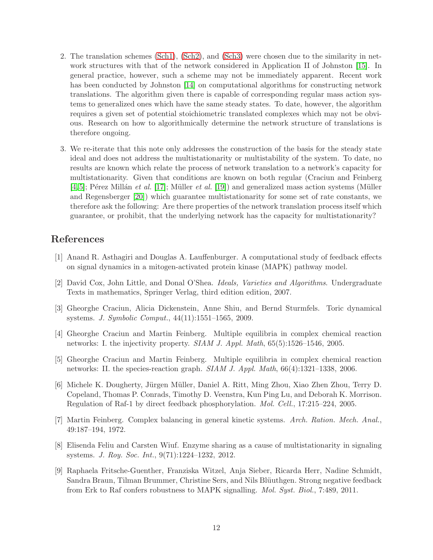- 2. The translation schemes [\(Sch1\)](#page-3-0), [\(Sch2\)](#page-6-0), and [\(Sch3\)](#page-8-3) were chosen due to the similarity in network structures with that of the network considered in Application II of Johnston [\[15\]](#page-12-4). In general practice, however, such a scheme may not be immediately apparent. Recent work has been conducted by Johnston [\[14\]](#page-12-10) on computational algorithms for constructing network translations. The algorithm given there is capable of corresponding regular mass action systems to generalized ones which have the same steady states. To date, however, the algorithm requires a given set of potential stoichiometric translated complexes which may not be obvious. Research on how to algorithmically determine the network structure of translations is therefore ongoing.
- 3. We re-iterate that this note only addresses the construction of the basis for the steady state ideal and does not address the multistationarity or multistability of the system. To date, no results are known which relate the process of network translation to a network's capacity for multistationarity. Given that conditions are known on both regular (Craciun and Feinberg  $[4, 5]$  $[4, 5]$ ; Pérez Millán *et al.* [\[17\]](#page-12-1); Müller *et al.* [\[19\]](#page-12-3)) and generalized mass action systems (Müller and Regensberger [\[20\]](#page-12-2)) which guarantee multistationarity for some set of rate constants, we therefore ask the following: Are there properties of the network translation process itself which guarantee, or prohibit, that the underlying network has the capacity for multistationarity?

# <span id="page-11-5"></span>References

- [1] Anand R. Asthagiri and Douglas A. Lauffenburger. A computational study of feedback effects on signal dynamics in a mitogen-activated protein kinase (MAPK) pathway model.
- <span id="page-11-8"></span><span id="page-11-0"></span>[2] David Cox, John Little, and Donal O'Shea. Ideals, Varieties and Algorithms. Undergraduate Texts in mathematics, Springer Verlag, third edition edition, 2007.
- [3] Gheorghe Craciun, Alicia Dickenstein, Anne Shiu, and Bernd Sturmfels. Toric dynamical systems. J. Symbolic Comput., 44(11):1551–1565, 2009.
- <span id="page-11-1"></span>[4] Gheorghe Craciun and Martin Feinberg. Multiple equilibria in complex chemical reaction networks: I. the injectivity property. SIAM J. Appl. Math, 65(5):1526–1546, 2005.
- <span id="page-11-2"></span>[5] Gheorghe Craciun and Martin Feinberg. Multiple equilibria in complex chemical reaction networks: II. the species-reaction graph. SIAM J. Appl. Math, 66(4):1321–1338, 2006.
- <span id="page-11-6"></span>[6] Michele K. Dougherty, Jürgen Müller, Daniel A. Ritt, Ming Zhou, Xiao Zhen Zhou, Terry D. Copeland, Thomas P. Conrads, Timothy D. Veenstra, Kun Ping Lu, and Deborah K. Morrison. Regulation of Raf-1 by direct feedback phosphorylation. Mol. Cell., 17:215–224, 2005.
- <span id="page-11-4"></span><span id="page-11-3"></span>[7] Martin Feinberg. Complex balancing in general kinetic systems. Arch. Ration. Mech. Anal., 49:187–194, 1972.
- [8] Elisenda Feliu and Carsten Wiuf. Enzyme sharing as a cause of multistationarity in signaling systems. J. Roy. Soc. Int., 9(71):1224–1232, 2012.
- <span id="page-11-7"></span>[9] Raphaela Fritsche-Guenther, Franziska Witzel, Anja Sieber, Ricarda Herr, Nadine Schmidt, Sandra Braun, Tilman Brummer, Christine Sers, and Nils Blüuthgen. Strong negative feedback from Erk to Raf confers robustness to MAPK signalling. Mol. Syst. Biol., 7:489, 2011.